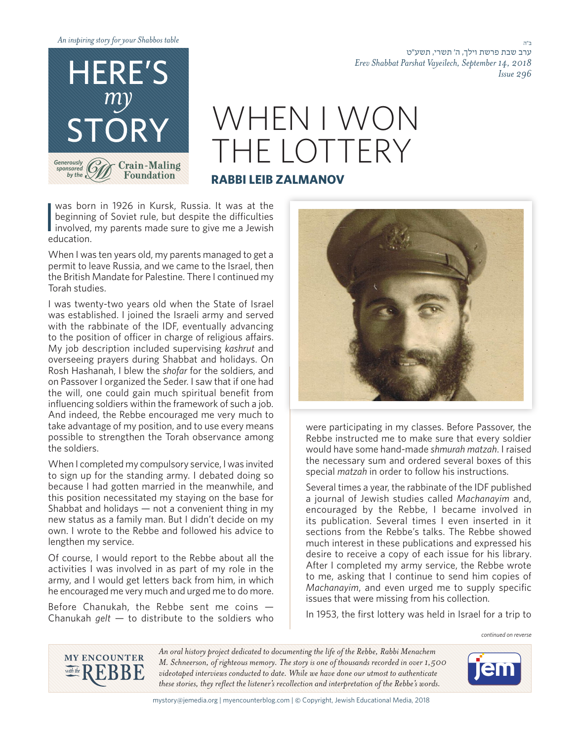*table Shabbos your for story inspiring An*



## *Erev Shabbat Parshat Vayeilech, September 14, 2018*

## WHEN I WON THE LOTTERY **RABBI LEIB ZALMANOV**

|<br>|<br>| was born in 1926 in Kursk, Russia. It was at the beginning of Soviet rule, but despite the difficulties involved, my parents made sure to give me a Jewish .education

When I was ten years old, my parents managed to get a permit to leave Russia, and we came to the Israel, then the British Mandate for Palestine. There I continued my Torah studies.

I was twenty-two years old when the State of Israel was established. I joined the Israeli army and served with the rabbinate of the IDF, eventually advancing to the position of officer in charge of religious affairs. My job description included supervising kashrut and overseeing prayers during Shabbat and holidays. On Rosh Hashanah, I blew the *shofar* for the soldiers, and on Passover I organized the Seder. I saw that if one had the will, one could gain much spiritual benefit from influencing soldiers within the framework of such a job. And indeed, the Rebbe encouraged me very much to take advantage of my position, and to use every means possible to strengthen the Torah observance among the soldiers.

When I completed my compulsory service, I was invited to sign up for the standing army. I debated doing so because I had gotten married in the meanwhile, and this position necessitated my staying on the base for Shabbat and holidays  $-$  not a convenient thing in my new status as a family man. But I didn't decide on my own. I wrote to the Rebbe and followed his advice to lengthen my service.

Of course, I would report to the Rebbe about all the activities I was involved in as part of my role in the army, and I would get letters back from him, in which he encouraged me very much and urged me to do more.

Before Chanukah, the Rebbe sent me coins  $-$ Chanukah gelt  $-$  to distribute to the soldiers who



were participating in my classes. Before Passover, the Rebbe instructed me to make sure that every soldier would have some hand-made shmurah matzah. I raised the necessary sum and ordered several boxes of this special *matzah* in order to follow his instructions.

Several times a year, the rabbinate of the IDF published a journal of Jewish studies called Machanayim and, encouraged by the Rebbe, I became involved in its publication. Several times I even inserted in it sections from the Rebbe's talks. The Rebbe showed much interest in these publications and expressed his desire to receive a copy of each issue for his library. After I completed my army service, the Rebbe wrote to me, asking that I continue to send him copies of Machanayim, and even urged me to supply specific issues that were missing from his collection.

In 1953, the first lottery was held in Israel for a trip to

*reverse on continued*

ב"ה

*296 Issue*

ערב שבת פרשת וילך, ה' תשרי, תשע״ט



An oral history project dedicated to documenting the life of the Rebbe, Rabbi Menachem *M. Schneerson, of righteous memory. The story is one of thousands recorded in over 1,500* videotaped interviews conducted to date. While we have done our utmost to authenticate these stories, they reflect the listener's recollection and interpretation of the Rebbe's words.